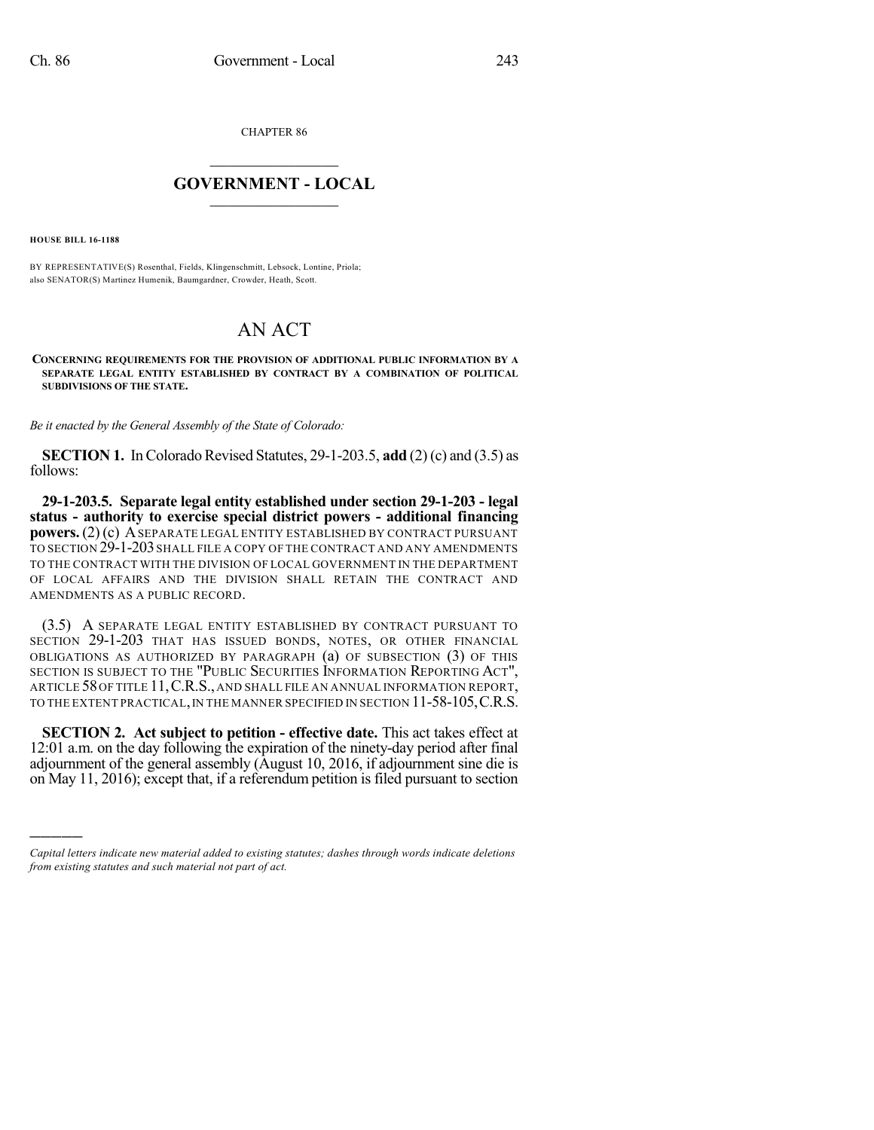CHAPTER 86

## $\overline{\phantom{a}}$  . The set of the set of the set of the set of the set of the set of the set of the set of the set of the set of the set of the set of the set of the set of the set of the set of the set of the set of the set o **GOVERNMENT - LOCAL**  $\_$

**HOUSE BILL 16-1188**

)))))

BY REPRESENTATIVE(S) Rosenthal, Fields, Klingenschmitt, Lebsock, Lontine, Priola; also SENATOR(S) Martinez Humenik, Baumgardner, Crowder, Heath, Scott.

## AN ACT

**CONCERNING REQUIREMENTS FOR THE PROVISION OF ADDITIONAL PUBLIC INFORMATION BY A SEPARATE LEGAL ENTITY ESTABLISHED BY CONTRACT BY A COMBINATION OF POLITICAL SUBDIVISIONS OF THE STATE.**

*Be it enacted by the General Assembly of the State of Colorado:*

**SECTION 1.** In Colorado Revised Statutes, 29-1-203.5, **add** (2) (c) and (3.5) as follows:

**29-1-203.5. Separate legal entity established under section 29-1-203 - legal status - authority to exercise special district powers - additional financing powers.** (2) (c) ASEPARATE LEGAL ENTITY ESTABLISHED BY CONTRACT PURSUANT TO SECTION 29-1-203 SHALL FILE A COPY OF THE CONTRACT AND ANY AMENDMENTS TO THE CONTRACT WITH THE DIVISION OF LOCAL GOVERNMENT IN THE DEPARTMENT OF LOCAL AFFAIRS AND THE DIVISION SHALL RETAIN THE CONTRACT AND AMENDMENTS AS A PUBLIC RECORD.

(3.5) A SEPARATE LEGAL ENTITY ESTABLISHED BY CONTRACT PURSUANT TO SECTION 29-1-203 THAT HAS ISSUED BONDS, NOTES, OR OTHER FINANCIAL OBLIGATIONS AS AUTHORIZED BY PARAGRAPH (a) OF SUBSECTION (3) OF THIS SECTION IS SUBJECT TO THE "PUBLIC SECURITIES INFORMATION REPORTING ACT", ARTICLE 58OF TITLE 11,C.R.S., AND SHALL FILE AN ANNUAL INFORMATION REPORT, TO THE EXTENT PRACTICAL, IN THE MANNER SPECIFIED IN SECTION 11-58-105, C.R.S.

**SECTION 2. Act subject to petition - effective date.** This act takes effect at 12:01 a.m. on the day following the expiration of the ninety-day period after final adjournment of the general assembly (August 10, 2016, if adjournment sine die is on May 11, 2016); except that, if a referendum petition is filed pursuant to section

*Capital letters indicate new material added to existing statutes; dashes through words indicate deletions from existing statutes and such material not part of act.*